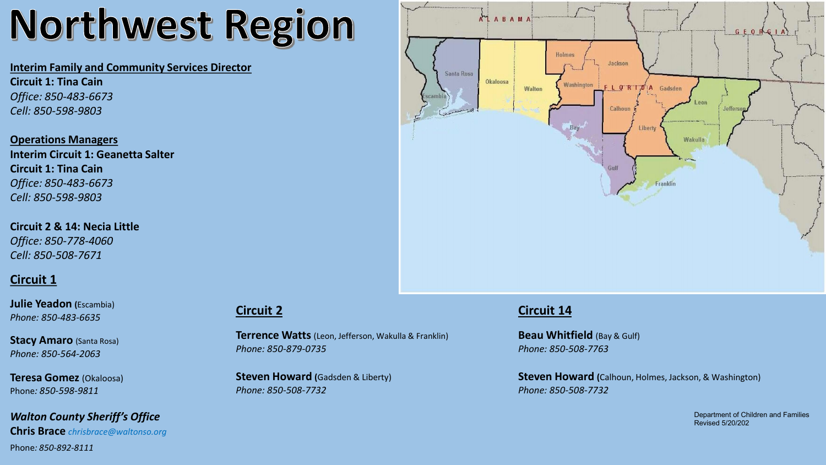# Northwest Region

#### **Interim Family and Community Services Director**

**Circuit 1: Tina Cain** *Office: 850-483-6673 Cell: 850-598-9803*

**Operations Managers Interim Circuit 1: Geanetta Salter Circuit 1: Tina Cain** *Office: 850-483-6673 Cell: 850-598-9803*

**Circuit 2 & 14: Necia Little** *Office: 850-778-4060 Cell: 850-508-7671*

## **Circuit 1**

**Julie Yeadon (**Escambia) *Phone: 850-483-6635*

**Stacy Amaro** (Santa Rosa) *Phone: 850-564-2063*

**Teresa Gomez** (Okaloosa) Phone*: 850-598-9811*

*Walton County Sheriff's Office* **Chris Brace** *chrisbrace@waltonso.org* Phone*: 850-892-8111*

#### **Circuit 2**

**Terrence Watts** (Leon, Jefferson, Wakulla & Franklin) *Phone: 850-879-0735*

**Steven Howard (**Gadsden & Liberty) *Phone: 850-508-7732*



#### **Circuit 14**

**Beau Whitfield** (Bay & Gulf) *Phone: 850-508-7763*

**Steven Howard (**Calhoun, Holmes, Jackson, & Washington) *Phone: 850-508-7732*

> Department of Children and Families Revised 5/20/202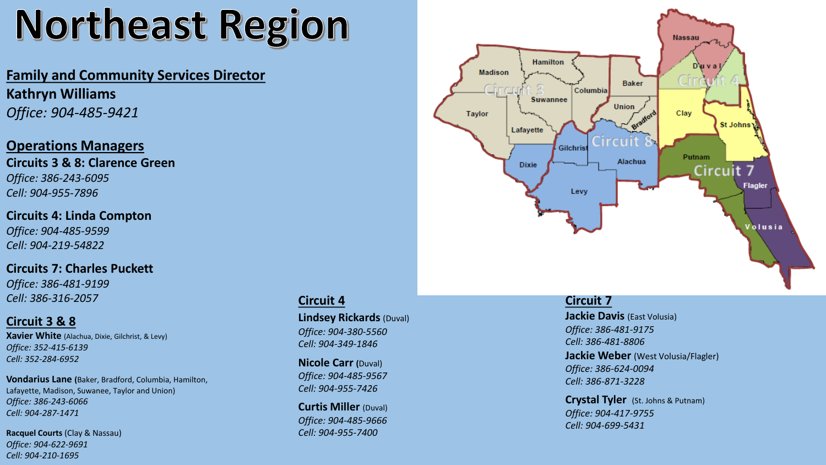# Northeast Region

# **Family and Community Services Director Kathryn Williams** *Office: 904-485-9421*

# **Operations Managers**

**Circuits 3 & 8: Clarence Green** *Office: 386-243-6095 Cell: 904-955-7896*

#### **Circuits 4: Linda Compton**

*Office: 904-485-9599 Cell: 904-219-54822*

#### **Circuits 7: Charles Puckett**

*Office: 386-481-9199 Cell: 386-316-2057*

### **Circuit 3 & 8**

**Xavier White** (Alachua, Dixie, Gilchrist, & Levy) *Office: 352-415-6139 Cell: 352-284-6952*

**Vondarius Lane (**Baker, Bradford, Columbia, Hamilton, Lafayette, Madison, Suwanee, Taylor and Union) *Office: 386-243-6066 Cell: 904-287-1471*

**Racquel Courts** (Clay & Nassau) *Office: 904-622-9691 Cell: 904-210-1695* 

## **Circuit 4**

**Lindsey Rickards** (Duval) *Office: 904-380-5560 Cell: 904-349-1846*

**Nicole Carr (**Duval) *Office: 904-485-9567 Cell: 904-955-7426*

**Curtis Miller** (Duval) *Office: 904-485-9666 Cell: 904-955-7400*



#### **Circuit 7**

**Jackie Davis** (East Volusia) *Office: 386-481-9175 Cell: 386-481-8806* **Jackie Weber** (West Volusia/Flagler) *Office: 386-624-0094 Cell: 386-871-3228*

**Crystal Tyler** (St. Johns & Putnam) *Office: 904-417-9755 Cell: 904-699-5431*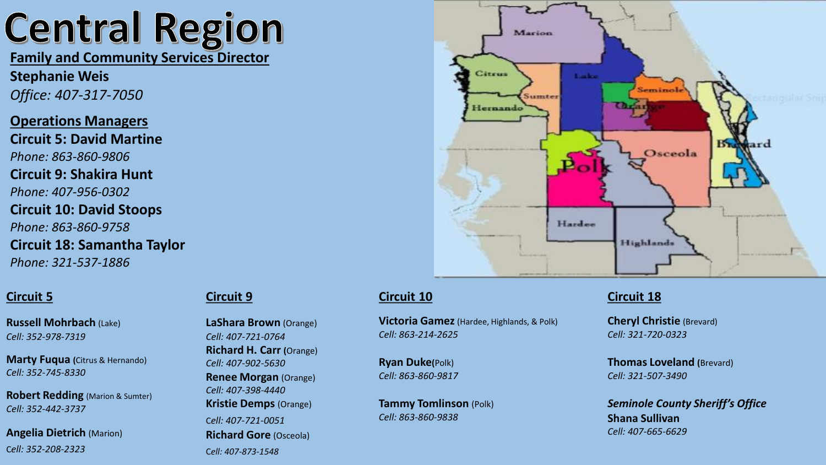# **Central Region**

**Family and Community Services Director**

**Stephanie Weis** *Office: 407-317-7050*

**Operations Managers Circuit 5: David Martine** *Phone: 863-860-9806* **Circuit 9: Shakira Hunt** *Phone: 407-956-0302* **Circuit 10: David Stoops** *Phone: 863-860-9758* **Circuit 18: Samantha Taylor** *Phone: 321-537-1886*

## **Circuit 5**

**Russell Mohrbach** (Lake) *Cell: 352-978-7319*

**Marty Fuqua (**Citrus & Hernando) *Cell: 352-745-8330*

**Robert Redding** (Marion & Sumter) *Cell: 352-442-3737*

**Angelia Dietrich** (Marion) C*ell: 352-208-2323*

#### **Circuit 9**

**LaShara Brown** (Orange) *Cell: 407-721-0764* **Richard H. Carr (**Orange) *Cell: 407-902-5630* **Renee Morgan** (Orange) *Cell: 407-398-4440* **Kristie Demps** (Orange) C*ell: 407-721-0051* **Richard Gore** (Osceola) C*ell: 407-873-1548*



### **Circuit 10**

**Victoria Gamez** (Hardee, Highlands, & Polk) *Cell: 863-214-2625*

**Ryan Duke(**Polk) *Cell: 863-860-9817*

**Tammy Tomlinson** (Polk) *Cell: 863-860-9838*

### **Circuit 18**

**Cheryl Christie** (Brevard) *Cell: 321-720-0323*

**Thomas Loveland (**Brevard) *Cell: 321-507-3490*

*Seminole County Sheriff's Office* **Shana Sullivan** *Cell: 407-665-6629*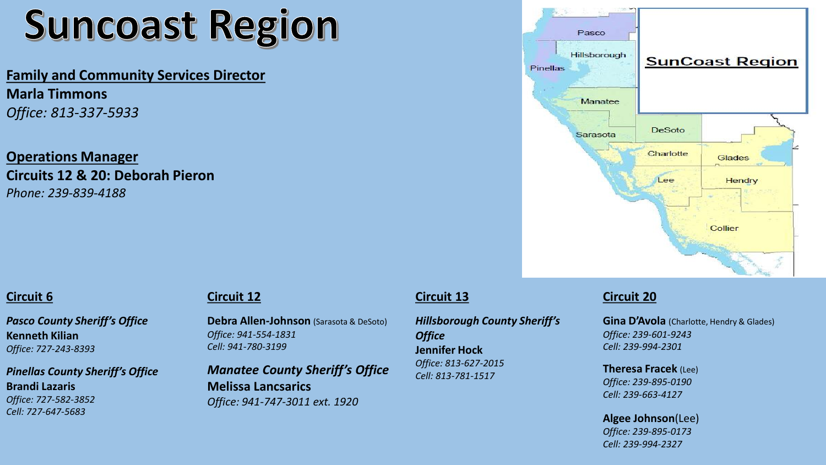# **Suncoast Region**

**Family and Community Services Director Marla Timmons** *Office: 813-337-5933*

**Operations Manager Circuits 12 & 20: Deborah Pieron** *Phone: 239-839-4188*



#### **Circuit 6**

*Pasco County Sheriff's Office* **Kenneth Kilian**  *Office: 727-243-8393*

*Pinellas County Sheriff's Office* **Brandi Lazaris** *Office: 727-582-3852 Cell: 727-647-5683*

#### **Circuit 12**

**Debra Allen-Johnson** (Sarasota & DeSoto) *Office: 941-554-1831 Cell: 941-780-3199*

*Manatee County Sheriff's Office* **Melissa Lancsarics** *Office: 941-747-3011 ext. 1920*

## **Circuit 13**

*Hillsborough County Sheriff's Office* **Jennifer Hock** *Office: 813-627-2015 Cell: 813-781-1517*

# **Circuit 20**

**Gina D'Avola** (Charlotte, Hendry & Glades) *Office: 239-601-9243 Cell: 239-994-2301*

**Theresa Fracek** (Lee) *Office: 239-895-0190 Cell: 239-663-4127*

**Algee Johnson**(Lee) *Office: 239-895-0173 Cell: 239-994-2327*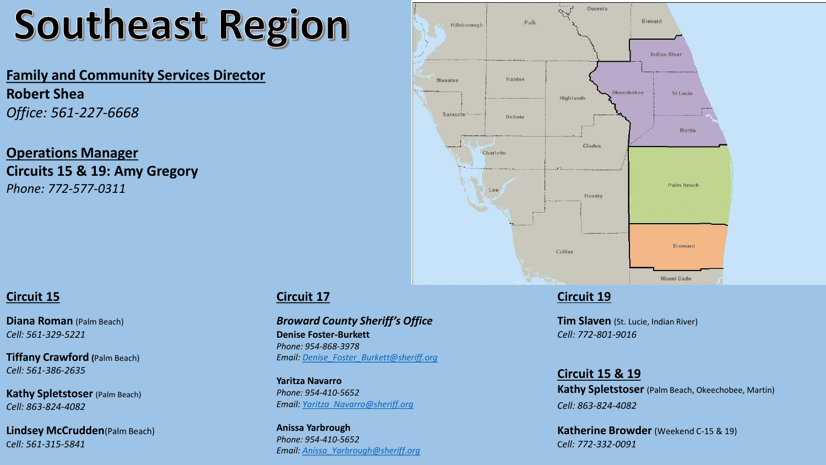# **Southeast Region**

# **Family and Community Services Director Robert Shea** *Office: 561-227-6668*

**Operations Manager Circuits 15 & 19: Amy Gregory** *Phone: 772-577-0311*



### **Circuit 15**

**Diana Roman** (Palm Beach) *Cell: 561-329-5221*

**Tiffany Crawford (**Palm Beach) *Cell: 561-386-2635*

**Kathy Spletstoser** (Palm Beach) *Cell: 863-824-4082*

**Lindsey McCrudden**(Palm Beach) C*ell: 561-315-5841*

## **Circuit 17**

*Broward County Sheriff's Office* **Denise Foster-Burkett** *Phone: 954-868-3978 Email: [Denise\\_Foster\\_Burkett@sheriff.org](mailto:Denise_Foster_Burkett@sheriff.org)*

**Yaritza Navarro** *Phone: 954-410-5652 Email: [Yaritza\\_Navarro@sheriff.org](mailto:Yaritza_Navarro@sheriff.org)*

**Anissa Yarbrough** *Phone: 954-410-5652 Email: [Anissa\\_Yarbrough@sheriff.org](mailto:Anissa_Yarbrough@sheriff.org)*

### **Circuit 19**

**Tim Slaven** (St. Lucie, Indian River) *Cell: 772-801-9016*

**Circuit 15 & 19 Kathy Spletstoser** (Palm Beach, Okeechobee, Martin) *Cell: 863-824-4082*

**Katherine Browder** (Weekend C-15 & 19) C*ell: 772-332-0091*